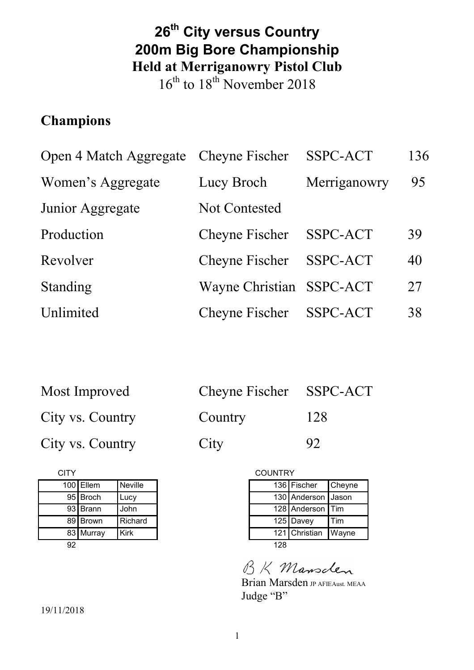# **26th City versus Country 200m Big Bore Championship Held at Merriganowry Pistol Club**

 $16<sup>th</sup>$  to  $18<sup>th</sup>$  November 2018

# **Champions**

| Open 4 Match Aggregate Cheyne Fischer |                          | SSPC-ACT     | 136 |
|---------------------------------------|--------------------------|--------------|-----|
| Women's Aggregate                     | Lucy Broch               | Merriganowry | 95  |
| Junior Aggregate                      | Not Contested            |              |     |
| Production                            | Cheyne Fischer           | SSPC-ACT     | 39  |
| Revolver                              | Cheyne Fischer           | SSPC-ACT     | 40  |
| Standing                              | Wayne Christian SSPC-ACT |              | 27  |
| Unlimited                             | Cheyne Fischer           | SSPC-ACT     | 38  |

| Most Improved    | Cheyne Fischer SSPC-ACT |     |
|------------------|-------------------------|-----|
| City vs. Country | Country                 | 128 |
| City vs. Country | City                    | 92  |

| CITY |           |             |
|------|-----------|-------------|
|      | 100 Ellem | Neville     |
|      | 95 Broch  | Lucy        |
|      | 93 Brann  | John        |
|      | 89 Brown  | Richard     |
|      | 83 Murray | <b>Kirk</b> |
| 92   |           |             |

| <b>COUNTRY</b> |                    |        |
|----------------|--------------------|--------|
|                | 136 Fischer        | Cheyne |
|                | 130 Anderson Jason |        |
|                | 128 Anderson       | Tim    |
|                | 125 Davey          | Tim    |
|                | 121 Christian      | Wayne  |
| 128            |                    |        |

BK Mansclen

Brian Marsden JP AFIEAust. MEAA Judge "B"

19/11/2018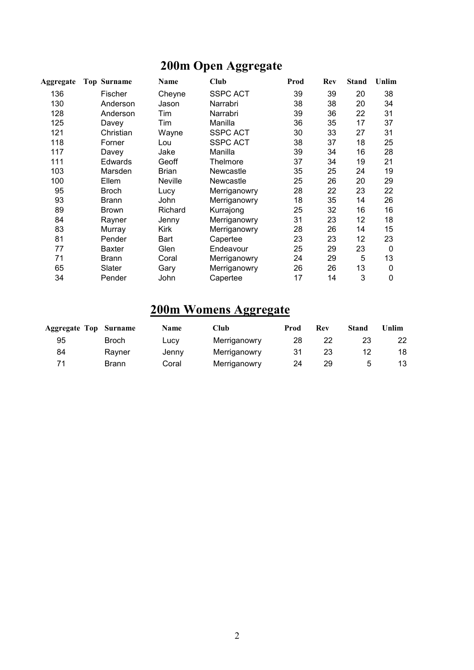# **200m Open Aggregate**

| Aggregate | <b>Top Surname</b> | Name           | Club            | Prod | Rev | <b>Stand</b> | Unlim |
|-----------|--------------------|----------------|-----------------|------|-----|--------------|-------|
| 136       | <b>Fischer</b>     | Cheyne         | <b>SSPC ACT</b> | 39   | 39  | 20           | 38    |
| 130       | Anderson           | Jason          | Narrabri        | 38   | 38  | 20           | 34    |
| 128       | Anderson           | Tim            | Narrabri        | 39   | 36  | 22           | 31    |
| 125       | Davey              | Tim            | Manilla         | 36   | 35  | 17           | 37    |
| 121       | Christian          | Wayne          | <b>SSPC ACT</b> | 30   | 33  | 27           | 31    |
| 118       | Forner             | Lou            | SSPC ACT        | 38   | 37  | 18           | 25    |
| 117       | Davey              | Jake           | Manilla         | 39   | 34  | 16           | 28    |
| 111       | <b>Edwards</b>     | Geoff          | Thelmore        | 37   | 34  | 19           | 21    |
| 103       | Marsden            | Brian          | Newcastle       | 35   | 25  | 24           | 19    |
| 100       | Ellem              | <b>Neville</b> | Newcastle       | 25   | 26  | 20           | 29    |
| 95        | <b>Broch</b>       | Lucy           | Merriganowry    | 28   | 22  | 23           | 22    |
| 93        | <b>Brann</b>       | John           | Merriganowry    | 18   | 35  | 14           | 26    |
| 89        | Brown              | Richard        | Kurrajong       | 25   | 32  | 16           | 16    |
| 84        | Rayner             | Jenny          | Merriganowry    | 31   | 23  | 12           | 18    |
| 83        | Murray             | Kirk           | Merriganowry    | 28   | 26  | 14           | 15    |
| 81        | Pender             | Bart           | Capertee        | 23   | 23  | 12           | 23    |
| 77        | <b>Baxter</b>      | Glen           | Endeavour       | 25   | 29  | 23           | 0     |
| 71        | <b>Brann</b>       | Coral          | Merriganowry    | 24   | 29  | 5            | 13    |
| 65        | Slater             | Gary           | Merriganowry    | 26   | 26  | 13           | 0     |
| 34        | Pender             | John           | Capertee        | 17   | 14  | 3            | 0     |

# **200m Womens Aggregate**

| <b>Aggregate Top Surname</b> |              | <b>Name</b> | Club         | Prod | Rev | Stand | <b>Jnlim</b> |
|------------------------------|--------------|-------------|--------------|------|-----|-------|--------------|
| 95                           | <b>Broch</b> | Lucy        | Merriganowry | 28   | 22  | 23    |              |
| 84                           | Ravner       | Jenny       | Merriganowry | 31   | 23  | 12    | 18           |
|                              | Brann        | Coral       | Merriganowry | 24   | 29  |       | 13           |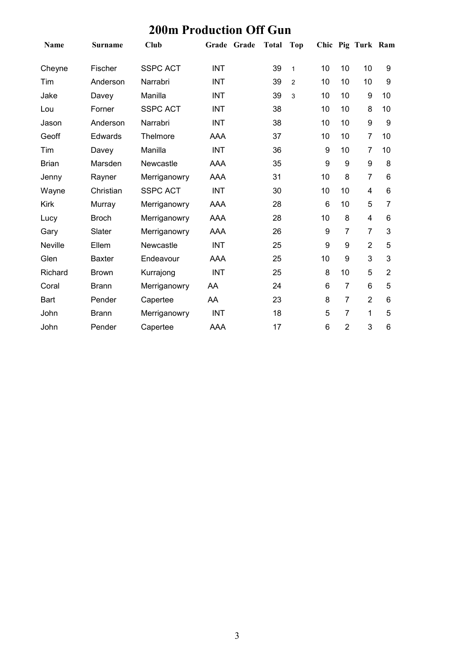| <b>200m Production Off Gun</b> |                |                 |             |              |              |    |                |                   |                |  |
|--------------------------------|----------------|-----------------|-------------|--------------|--------------|----|----------------|-------------------|----------------|--|
| <b>Name</b>                    | <b>Surname</b> | Club            | Grade Grade | <b>Total</b> | Top          |    |                | Chic Pig Turk Ram |                |  |
| Cheyne                         | Fischer        | <b>SSPC ACT</b> | <b>INT</b>  | 39           | $\mathbf{1}$ | 10 | 10             | 10                | 9              |  |
| Tim                            | Anderson       | Narrabri        | <b>INT</b>  | 39           | 2            | 10 | 10             | 10                | 9              |  |
| Jake                           | Davey          | Manilla         | <b>INT</b>  | 39           | 3            | 10 | 10             | 9                 | 10             |  |
| Lou                            | Forner         | <b>SSPC ACT</b> | <b>INT</b>  | 38           |              | 10 | 10             | 8                 | 10             |  |
| Jason                          | Anderson       | Narrabri        | <b>INT</b>  | 38           |              | 10 | 10             | 9                 | 9              |  |
| Geoff                          | Edwards        | Thelmore        | AAA         | 37           |              | 10 | 10             | $\overline{7}$    | 10             |  |
| Tim                            | Davey          | Manilla         | <b>INT</b>  | 36           |              | 9  | 10             | $\overline{7}$    | 10             |  |
| <b>Brian</b>                   | Marsden        | Newcastle       | AAA         | 35           |              | 9  | 9              | 9                 | 8              |  |
| Jenny                          | Rayner         | Merriganowry    | <b>AAA</b>  | 31           |              | 10 | 8              | $\overline{7}$    | 6              |  |
| Wayne                          | Christian      | <b>SSPC ACT</b> | <b>INT</b>  | 30           |              | 10 | 10             | $\overline{4}$    | 6              |  |
| <b>Kirk</b>                    | Murray         | Merriganowry    | <b>AAA</b>  | 28           |              | 6  | 10             | 5                 | 7              |  |
| Lucy                           | <b>Broch</b>   | Merriganowry    | <b>AAA</b>  | 28           |              | 10 | 8              | 4                 | 6              |  |
| Gary                           | Slater         | Merriganowry    | <b>AAA</b>  | 26           |              | 9  | $\overline{7}$ | $\overline{7}$    | 3              |  |
| <b>Neville</b>                 | Ellem          | Newcastle       | <b>INT</b>  | 25           |              | 9  | 9              | $\overline{2}$    | 5              |  |
| Glen                           | <b>Baxter</b>  | Endeavour       | AAA         | 25           |              | 10 | 9              | 3                 | 3              |  |
| Richard                        | <b>Brown</b>   | Kurrajong       | <b>INT</b>  | 25           |              | 8  | 10             | 5                 | $\overline{2}$ |  |
| Coral                          | <b>Brann</b>   | Merriganowry    | AA          | 24           |              | 6  | $\overline{7}$ | $6\phantom{1}6$   | 5              |  |
| <b>Bart</b>                    | Pender         | Capertee        | AA          | 23           |              | 8  | $\overline{7}$ | $\overline{2}$    | 6              |  |
| John                           | <b>Brann</b>   | Merriganowry    | <b>INT</b>  | 18           |              | 5  | $\overline{7}$ | 1                 | 5              |  |
| John                           | Pender         | Capertee        | AAA         | 17           |              | 6  | $\overline{2}$ | 3                 | 6              |  |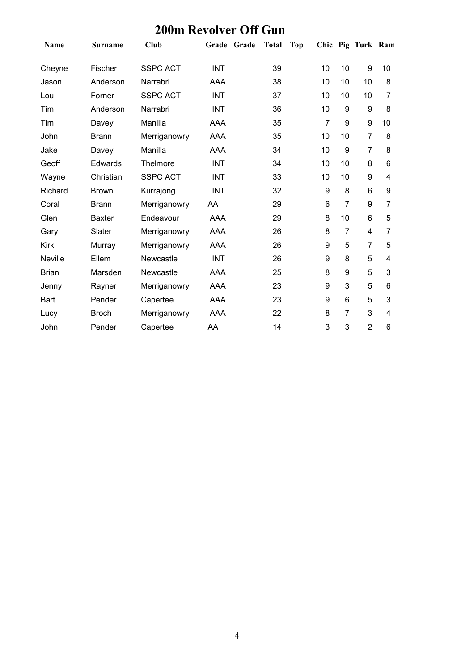| Name         | <b>Surname</b> | Club            | Grade Grade |  | <b>Total</b> | <b>Top</b> |                 |                  | Chic Pig Turk Ram |    |
|--------------|----------------|-----------------|-------------|--|--------------|------------|-----------------|------------------|-------------------|----|
| Cheyne       | Fischer        | <b>SSPC ACT</b> | <b>INT</b>  |  | 39           |            | 10              | 10               | 9                 | 10 |
| Jason        | Anderson       | Narrabri        | <b>AAA</b>  |  | 38           |            | 10              | 10               | 10                | 8  |
| Lou          | Forner         | <b>SSPC ACT</b> | <b>INT</b>  |  | 37           |            | 10              | 10               | 10                | 7  |
| Tim          | Anderson       | Narrabri        | <b>INT</b>  |  | 36           |            | 10              | 9                | 9                 | 8  |
| Tim          | Davey          | Manilla         | <b>AAA</b>  |  | 35           |            | $\overline{7}$  | $\boldsymbol{9}$ | 9                 | 10 |
| John         | <b>Brann</b>   | Merriganowry    | AAA         |  | 35           |            | 10              | 10               | $\overline{7}$    | 8  |
| Jake         | Davey          | Manilla         | <b>AAA</b>  |  | 34           |            | 10              | 9                | $\overline{7}$    | 8  |
| Geoff        | Edwards        | Thelmore        | <b>INT</b>  |  | 34           |            | 10              | 10               | 8                 | 6  |
| Wayne        | Christian      | <b>SSPC ACT</b> | <b>INT</b>  |  | 33           |            | 10              | 10               | 9                 | 4  |
| Richard      | <b>Brown</b>   | Kurrajong       | <b>INT</b>  |  | 32           |            | 9               | 8                | 6                 | 9  |
| Coral        | <b>Brann</b>   | Merriganowry    | AA          |  | 29           |            | $6\phantom{1}6$ | $\overline{7}$   | 9                 | 7  |
| Glen         | <b>Baxter</b>  | Endeavour       | <b>AAA</b>  |  | 29           |            | 8               | 10               | 6                 | 5  |
| Gary         | Slater         | Merriganowry    | <b>AAA</b>  |  | 26           |            | 8               | $\overline{7}$   | 4                 | 7  |
| Kirk         | Murray         | Merriganowry    | <b>AAA</b>  |  | 26           |            | 9               | 5                | 7                 | 5  |
| Neville      | Ellem          | Newcastle       | <b>INT</b>  |  | 26           |            | 9               | 8                | 5                 | 4  |
| <b>Brian</b> | Marsden        | Newcastle       | <b>AAA</b>  |  | 25           |            | 8               | 9                | 5                 | 3  |
| Jenny        | Rayner         | Merriganowry    | <b>AAA</b>  |  | 23           |            | 9               | 3                | 5                 | 6  |
| Bart         | Pender         | Capertee        | <b>AAA</b>  |  | 23           |            | 9               | 6                | 5                 | 3  |
| Lucy         | <b>Broch</b>   | Merriganowry    | <b>AAA</b>  |  | 22           |            | 8               | $\overline{7}$   | 3                 | 4  |
| John         | Pender         | Capertee        | AA          |  | 14           |            | 3               | 3                | $\overline{2}$    | 6  |

#### **200m Revolver Off Gun**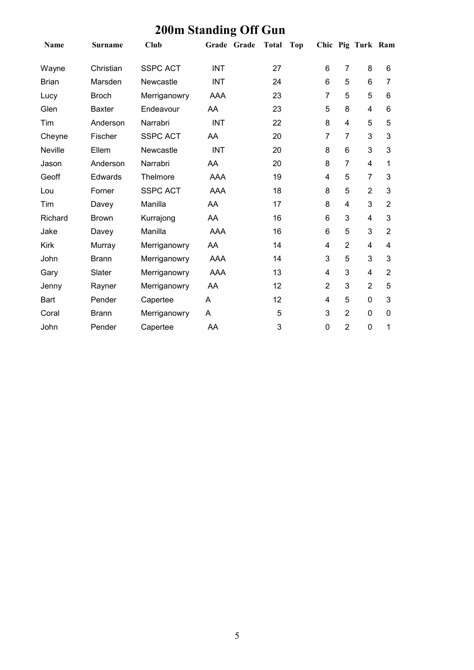| $\sim$ $\sim$ $\sim$ |                |                 |            |             |       |            |                |                |                   |                |
|----------------------|----------------|-----------------|------------|-------------|-------|------------|----------------|----------------|-------------------|----------------|
| Name                 | <b>Surname</b> | <b>Club</b>     |            | Grade Grade | Total | <b>Top</b> |                |                | Chic Pig Turk Ram |                |
| Wayne                | Christian      | <b>SSPC ACT</b> | <b>INT</b> |             | 27    |            | 6              | $\overline{7}$ | 8                 | 6              |
| <b>Brian</b>         | Marsden        | Newcastle       | <b>INT</b> |             | 24    |            | 6              | 5              | 6                 | 7              |
| Lucy                 | <b>Broch</b>   | Merriganowry    | AAA        |             | 23    |            | 7              | 5              | 5                 | 6              |
| Glen                 | <b>Baxter</b>  | Endeavour       | AA         |             | 23    |            | 5              | 8              | 4                 | 6              |
| Tim                  | Anderson       | Narrabri        | <b>INT</b> |             | 22    |            | 8              | 4              | 5                 | 5              |
| Cheyne               | Fischer        | <b>SSPC ACT</b> | AA         |             | 20    |            | $\overline{7}$ | $\overline{7}$ | 3                 | 3              |
| Neville              | Ellem          | Newcastle       | <b>INT</b> |             | 20    |            | 8              | 6              | 3                 | 3              |
| Jason                | Anderson       | Narrabri        | AA         |             | 20    |            | 8              | $\overline{7}$ | $\overline{4}$    | 1              |
| Geoff                | Edwards        | Thelmore        | AAA        |             | 19    |            | 4              | 5              | $\overline{7}$    | 3              |
| Lou                  | Forner         | <b>SSPC ACT</b> | <b>AAA</b> |             | 18    |            | 8              | 5              | $\overline{2}$    | 3              |
| Tim                  | Davey          | Manilla         | AA         |             | 17    |            | 8              | 4              | 3                 | $\overline{2}$ |
| Richard              | <b>Brown</b>   | Kurrajong       | AA         |             | 16    |            | 6              | 3              | 4                 | 3              |
| Jake                 | Davey          | Manilla         | <b>AAA</b> |             | 16    |            | 6              | 5              | 3                 | $\overline{2}$ |
| Kirk                 | Murray         | Merriganowry    | AA         |             | 14    |            | 4              | $\overline{2}$ | 4                 | 4              |
| John                 | <b>Brann</b>   | Merriganowry    | <b>AAA</b> |             | 14    |            | 3              | 5              | 3                 | 3              |
| Gary                 | Slater         | Merriganowry    | <b>AAA</b> |             | 13    |            | 4              | 3              | $\overline{4}$    | $\overline{2}$ |
| Jenny                | Rayner         | Merriganowry    | AA         |             | 12    |            | $\overline{2}$ | 3              | $\overline{2}$    | 5              |
| <b>Bart</b>          | Pender         | Capertee        | A          |             | 12    |            | 4              | 5              | $\mathbf 0$       | 3              |
| Coral                | <b>Brann</b>   | Merriganowry    | A          |             | 5     |            | 3              | $\overline{2}$ | $\mathbf 0$       | $\mathbf 0$    |
| John                 | Pender         | Capertee        | AA         |             | 3     |            | 0              | $\overline{2}$ | $\mathbf 0$       | 1              |

#### **200m Standing Off Gun**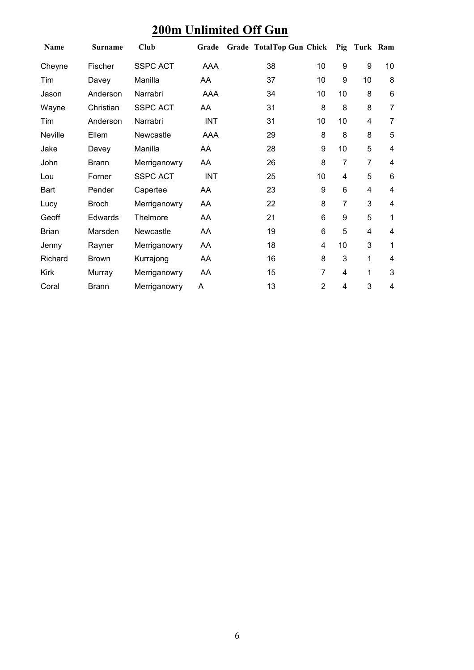### **200m Unlimited Off Gun**

| Name         | <b>Surname</b> | <b>Club</b>     | Grade      | Grade TotalTop Gun Chick |                |                | Pig Turk Ram |                 |
|--------------|----------------|-----------------|------------|--------------------------|----------------|----------------|--------------|-----------------|
| Cheyne       | Fischer        | <b>SSPC ACT</b> | AAA        | 38                       | 10             | 9              | 9            | 10              |
| Tim          | Davey          | Manilla         | AA         | 37                       | 10             | 9              | 10           | 8               |
| Jason        | Anderson       | Narrabri        | AAA        | 34                       | 10             | 10             | 8            | $\,6$           |
| Wayne        | Christian      | <b>SSPC ACT</b> | AA         | 31                       | 8              | 8              | 8            | $\overline{7}$  |
| Tim          | Anderson       | Narrabri        | <b>INT</b> | 31                       | 10             | 10             | 4            | $\overline{7}$  |
| Neville      | Ellem          | Newcastle       | AAA        | 29                       | 8              | 8              | 8            | 5               |
| Jake         | Davey          | Manilla         | AA         | 28                       | 9              | 10             | 5            | $\overline{4}$  |
| John         | <b>Brann</b>   | Merriganowry    | AA         | 26                       | 8              | $\overline{7}$ | 7            | 4               |
| Lou          | Forner         | <b>SSPC ACT</b> | <b>INT</b> | 25                       | 10             | 4              | 5            | $6\phantom{1}6$ |
| Bart         | Pender         | Capertee        | AA         | 23                       | 9              | 6              | 4            | 4               |
| Lucy         | <b>Broch</b>   | Merriganowry    | AA         | 22                       | 8              | 7              | 3            | 4               |
| Geoff        | <b>Edwards</b> | Thelmore        | AA         | 21                       | 6              | 9              | 5            | 1               |
| <b>Brian</b> | Marsden        | Newcastle       | AA         | 19                       | 6              | 5              | 4            | 4               |
| Jenny        | Rayner         | Merriganowry    | AA         | 18                       | $\overline{4}$ | 10             | 3            | 1               |
| Richard      | <b>Brown</b>   | Kurrajong       | AA         | 16                       | 8              | 3              | 1            | 4               |
| <b>Kirk</b>  | Murray         | Merriganowry    | AA         | 15                       | 7              | 4              | 1            | 3               |
| Coral        | <b>Brann</b>   | Merriganowry    | A          | 13                       | $\overline{2}$ | 4              | 3            | 4               |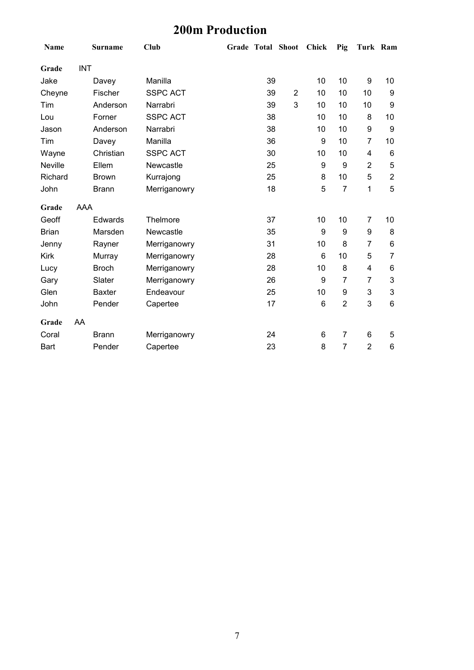# **200m Production**

| Name         |            | <b>Surname</b> | Club            |    | Grade Total Shoot Chick |    | Pig              | Turk Ram                |                 |
|--------------|------------|----------------|-----------------|----|-------------------------|----|------------------|-------------------------|-----------------|
| Grade        | <b>INT</b> |                |                 |    |                         |    |                  |                         |                 |
| Jake         |            | Davey          | Manilla         | 39 |                         | 10 | 10               | 9                       | 10              |
| Cheyne       |            | Fischer        | <b>SSPC ACT</b> | 39 | $\overline{2}$          | 10 | 10               | 10                      | 9               |
| Tim          |            | Anderson       | Narrabri        | 39 | 3                       | 10 | 10               | 10                      | 9               |
| Lou          |            | Forner         | <b>SSPC ACT</b> | 38 |                         | 10 | 10               | 8                       | 10              |
| Jason        |            | Anderson       | Narrabri        | 38 |                         | 10 | 10               | 9                       | 9               |
| Tim          |            | Davey          | Manilla         | 36 |                         | 9  | 10               | $\overline{7}$          | 10              |
| Wayne        |            | Christian      | <b>SSPC ACT</b> | 30 |                         | 10 | 10               | $\overline{\mathbf{4}}$ | $6\phantom{1}6$ |
| Neville      |            | Ellem          | Newcastle       | 25 |                         | 9  | $\boldsymbol{9}$ | $\overline{2}$          | 5               |
| Richard      |            | <b>Brown</b>   | Kurrajong       | 25 |                         | 8  | 10               | 5                       | $\overline{2}$  |
| John         |            | <b>Brann</b>   | Merriganowry    | 18 |                         | 5  | $\overline{7}$   | 1                       | 5               |
| Grade        | <b>AAA</b> |                |                 |    |                         |    |                  |                         |                 |
| Geoff        |            | <b>Edwards</b> | Thelmore        | 37 |                         | 10 | 10               | $\overline{7}$          | 10              |
| <b>Brian</b> |            | Marsden        | Newcastle       | 35 |                         | 9  | $\boldsymbol{9}$ | $\boldsymbol{9}$        | 8               |
| Jenny        |            | Rayner         | Merriganowry    | 31 |                         | 10 | 8                | $\overline{7}$          | 6               |
| <b>Kirk</b>  |            | Murray         | Merriganowry    | 28 |                         | 6  | 10               | 5                       | 7               |
| Lucy         |            | <b>Broch</b>   | Merriganowry    | 28 |                         | 10 | 8                | $\overline{\mathbf{4}}$ | 6               |
| Gary         |            | Slater         | Merriganowry    | 26 |                         | 9  | 7                | $\overline{7}$          | 3               |
| Glen         |            | <b>Baxter</b>  | Endeavour       | 25 |                         | 10 | $\boldsymbol{9}$ | 3                       | $\mathbf{3}$    |
| John         |            | Pender         | Capertee        | 17 |                         | 6  | $\overline{2}$   | 3                       | $6\phantom{1}$  |
| Grade        | AA         |                |                 |    |                         |    |                  |                         |                 |
| Coral        |            | <b>Brann</b>   | Merriganowry    | 24 |                         | 6  | $\overline{7}$   | 6                       | 5               |
| Bart         |            | Pender         | Capertee        | 23 |                         | 8  | $\overline{7}$   | $\overline{2}$          | 6               |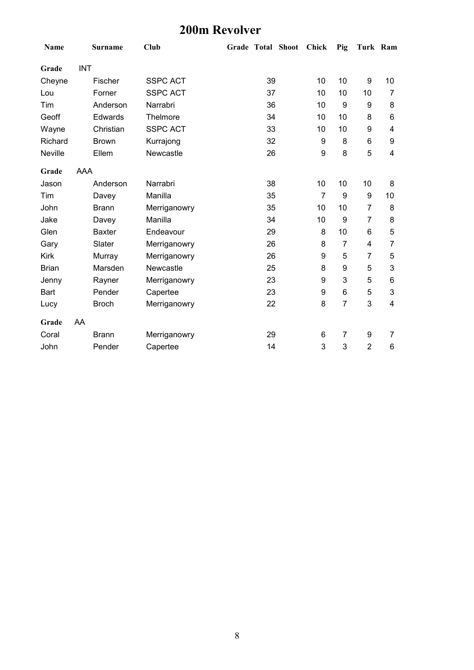### **200m Revolver**

| Name         |            | <b>Surname</b> | Club            |    | Grade Total Shoot Chick |                | Pig            | Turk Ram       |                |
|--------------|------------|----------------|-----------------|----|-------------------------|----------------|----------------|----------------|----------------|
| Grade        | <b>INT</b> |                |                 |    |                         |                |                |                |                |
| Cheyne       |            | Fischer        | <b>SSPC ACT</b> | 39 |                         | 10             | 10             | 9              | 10             |
| Lou          |            | Forner         | <b>SSPC ACT</b> | 37 |                         | 10             | 10             | 10             | $\overline{7}$ |
| Tim          |            | Anderson       | Narrabri        | 36 |                         | 10             | 9              | 9              | 8              |
| Geoff        |            | Edwards        | Thelmore        | 34 |                         | 10             | 10             | 8              | 6              |
| Wayne        |            | Christian      | <b>SSPC ACT</b> | 33 |                         | 10             | 10             | 9              | 4              |
| Richard      |            | <b>Brown</b>   | Kurrajong       | 32 |                         | 9              | 8              | 6              | 9              |
| Neville      |            | Ellem          | Newcastle       | 26 |                         | 9              | 8              | 5              | 4              |
| Grade        | AAA        |                |                 |    |                         |                |                |                |                |
| Jason        |            | Anderson       | Narrabri        | 38 |                         | 10             | 10             | 10             | 8              |
| Tim          |            | Davey          | Manilla         | 35 |                         | $\overline{7}$ | 9              | 9              | 10             |
| John         |            | <b>Brann</b>   | Merriganowry    | 35 |                         | 10             | 10             | $\overline{7}$ | 8              |
| Jake         |            | Davey          | Manilla         | 34 |                         | 10             | 9              | $\overline{7}$ | 8              |
| Glen         |            | <b>Baxter</b>  | Endeavour       | 29 |                         | 8              | 10             | 6              | 5              |
| Gary         |            | Slater         | Merriganowry    | 26 |                         | 8              | $\overline{7}$ | 4              | $\overline{7}$ |
| <b>Kirk</b>  |            | Murray         | Merriganowry    | 26 |                         | 9              | 5              | $\overline{7}$ | 5              |
| <b>Brian</b> |            | Marsden        | Newcastle       | 25 |                         | 8              | 9              | $\mathbf 5$    | 3              |
| Jenny        |            | Rayner         | Merriganowry    | 23 |                         | 9              | 3              | 5              | 6              |
| Bart         |            | Pender         | Capertee        | 23 |                         | 9              | 6              | $\mathbf 5$    | 3              |
| Lucy         |            | <b>Broch</b>   | Merriganowry    | 22 |                         | 8              | $\overline{7}$ | 3              | 4              |
| Grade        | AA         |                |                 |    |                         |                |                |                |                |
| Coral        |            | <b>Brann</b>   | Merriganowry    | 29 |                         | 6              | $\overline{7}$ | 9              | 7              |
| John         |            | Pender         | Capertee        | 14 |                         | 3              | 3              | $\overline{2}$ | 6              |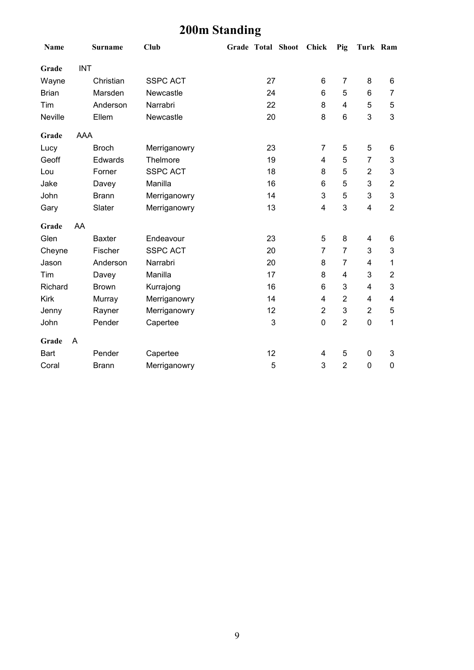# **200m Standing**

| Name         |            | <b>Surname</b> | <b>Club</b>     |    | Grade Total Shoot Chick |                 | Pig                     | Turk Ram                |                |
|--------------|------------|----------------|-----------------|----|-------------------------|-----------------|-------------------------|-------------------------|----------------|
| Grade        | <b>INT</b> |                |                 |    |                         |                 |                         |                         |                |
| Wayne        |            | Christian      | <b>SSPC ACT</b> | 27 |                         | 6               | $\overline{7}$          | 8                       | 6              |
| <b>Brian</b> |            | Marsden        | Newcastle       | 24 |                         | $\,6$           | 5                       | 6                       | $\overline{7}$ |
| Tim          |            | Anderson       | Narrabri        | 22 |                         | 8               | $\overline{\mathbf{4}}$ | 5                       | 5              |
| Neville      |            | Ellem          | Newcastle       | 20 |                         | 8               | 6                       | 3                       | 3              |
| Grade        | <b>AAA</b> |                |                 |    |                         |                 |                         |                         |                |
| Lucy         |            | <b>Broch</b>   | Merriganowry    | 23 |                         | 7               | 5                       | 5                       | 6              |
| Geoff        |            | Edwards        | Thelmore        | 19 |                         | 4               | 5                       | $\overline{7}$          | 3              |
| Lou          |            | Forner         | <b>SSPC ACT</b> | 18 |                         | 8               | 5                       | $\overline{2}$          | 3              |
| Jake         |            | Davey          | Manilla         | 16 |                         | $6\phantom{1}6$ | 5                       | 3                       | $\overline{2}$ |
| John         |            | <b>Brann</b>   | Merriganowry    | 14 |                         | 3               | 5                       | 3                       | 3              |
| Gary         |            | Slater         | Merriganowry    | 13 |                         | 4               | 3                       | $\overline{\mathbf{4}}$ | $\overline{2}$ |
| Grade        | AA         |                |                 |    |                         |                 |                         |                         |                |
| Glen         |            | <b>Baxter</b>  | Endeavour       | 23 |                         | 5               | 8                       | 4                       | 6              |
| Cheyne       |            | Fischer        | <b>SSPC ACT</b> | 20 |                         | $\overline{7}$  | $\overline{7}$          | 3                       | 3              |
| Jason        |            | Anderson       | Narrabri        | 20 |                         | 8               | $\overline{7}$          | 4                       | 1              |
| Tim          |            | Davey          | Manilla         | 17 |                         | 8               | $\overline{4}$          | 3                       | $\overline{2}$ |
| Richard      |            | <b>Brown</b>   | Kurrajong       | 16 |                         | 6               | 3                       | 4                       | 3              |
| Kirk         |            | Murray         | Merriganowry    | 14 |                         | 4               | $\overline{2}$          | 4                       | 4              |
| Jenny        |            | Rayner         | Merriganowry    | 12 |                         | $\overline{2}$  | 3                       | $\overline{2}$          | 5              |
| John         |            | Pender         | Capertee        | 3  |                         | $\mathbf 0$     | $\overline{2}$          | 0                       | 1              |
| Grade        | A          |                |                 |    |                         |                 |                         |                         |                |
| <b>Bart</b>  |            | Pender         | Capertee        | 12 |                         | 4               | 5                       | 0                       | 3              |
| Coral        |            | <b>Brann</b>   | Merriganowry    | 5  |                         | 3               | $\overline{2}$          | 0                       | $\mathbf 0$    |